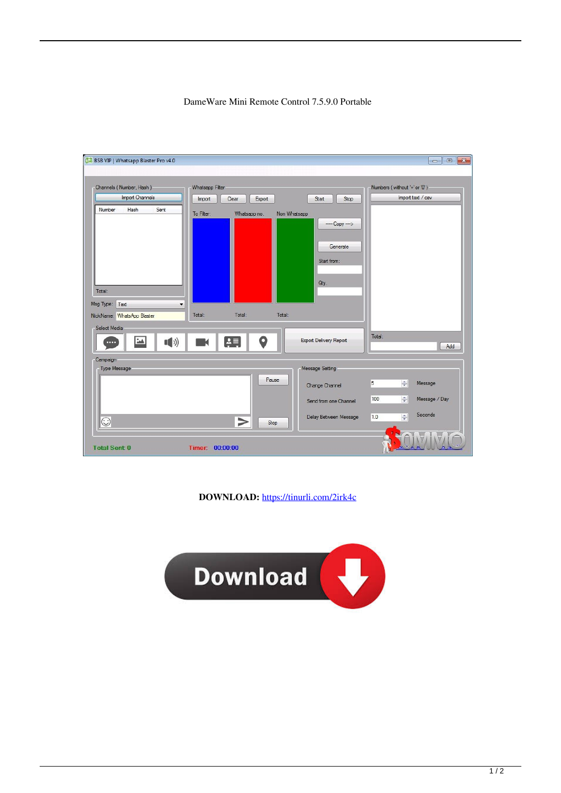## DameWare Mini Remote Control 7.5.9.0 Portable

| BSB VIP   Whatsapp Blaster Pro v4.0        |                            |                               |                              | $\mathbf{x}$<br>$\Box$<br>$\vert$ $\vert$ |
|--------------------------------------------|----------------------------|-------------------------------|------------------------------|-------------------------------------------|
| Channels (Number, Hash)                    | Whatsapp Filter            |                               | Numbers (without '+' or '0') |                                           |
| Import Channels                            | Clear<br>Export<br>Import  | Start<br>Stop                 |                              | Import text / csv                         |
| Number<br>Hash<br>Sent                     | To Filter:<br>Whatsapp no. | Non Whatsapp                  |                              |                                           |
|                                            |                            | $-$ Copy $-$ >                |                              |                                           |
|                                            |                            |                               |                              |                                           |
|                                            |                            | Generate                      |                              |                                           |
|                                            |                            | Start from:                   |                              |                                           |
|                                            |                            |                               |                              |                                           |
|                                            |                            | Qty.                          |                              |                                           |
| Total:                                     |                            |                               |                              |                                           |
| Msg Type:<br>Text<br>۰                     | Total:<br>Total:<br>Total: |                               |                              |                                           |
| NickName: WhatsApp Blaster<br>Select Media |                            |                               |                              |                                           |
|                                            |                            | <b>Export Delivery Report</b> | Total:                       |                                           |
| <b>Safe</b><br>$\blacksquare$<br>          | O<br>$\frac{1}{2}$         |                               |                              | Add                                       |
| Campaign                                   |                            |                               |                              |                                           |
| Type Message                               |                            | Message Setting               |                              |                                           |
|                                            | Pause                      | Change Channel                | 5                            | $\div$<br>Message                         |
|                                            |                            | Send from one Channel         | 100                          | $\div$<br>Message / Day                   |
|                                            |                            |                               |                              | Seconds                                   |
| $\overline{\odot}$                         | $\triangleright$<br>Stop   | Delay Between Message         | 1.0                          | 수                                         |
|                                            |                            |                               |                              |                                           |
| <b>Total Sent 0</b>                        | Timer: 00:00:00            |                               |                              |                                           |

**DOWNLOAD:** <https://tinurli.com/2irk4c>